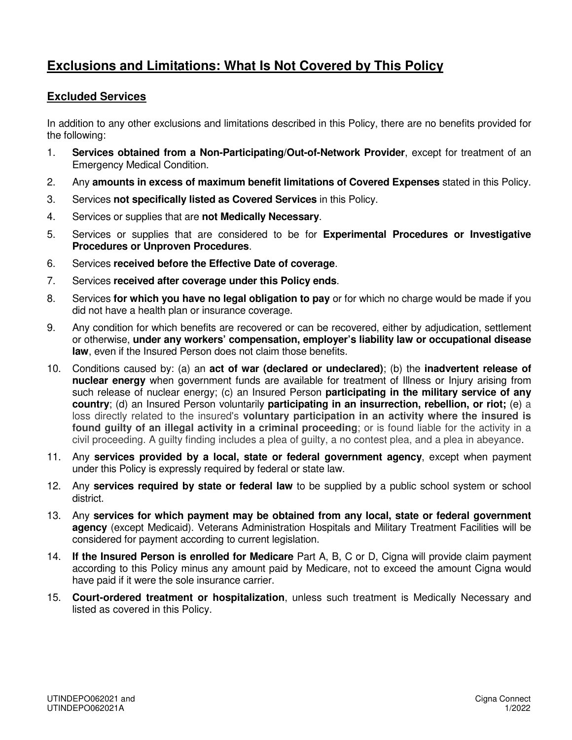## **Exclusions and Limitations: What Is Not Covered by This Policy**

## **Excluded Services**

In addition to any other exclusions and limitations described in this Policy, there are no benefits provided for the following:

- 1. **Services obtained from a Non-Participating/Out-of-Network Provider**, except for treatment of an Emergency Medical Condition.
- 2. Any **amounts in excess of maximum benefit limitations of Covered Expenses** stated in this Policy.
- 3. Services **not specifically listed as Covered Services** in this Policy.
- 4. Services or supplies that are **not Medically Necessary**.
- 5. Services or supplies that are considered to be for **Experimental Procedures or Investigative Procedures or Unproven Procedures**.
- 6. Services **received before the Effective Date of coverage**.
- 7. Services **received after coverage under this Policy ends**.
- 8. Services **for which you have no legal obligation to pay** or for which no charge would be made if you did not have a health plan or insurance coverage.
- 9. Any condition for which benefits are recovered or can be recovered, either by adjudication, settlement or otherwise, **under any workers' compensation, employer's liability law or occupational disease law**, even if the Insured Person does not claim those benefits.
- 10. Conditions caused by: (a) an **act of war (declared or undeclared)**; (b) the **inadvertent release of nuclear energy** when government funds are available for treatment of Illness or Injury arising from such release of nuclear energy; (c) an Insured Person **participating in the military service of any country**; (d) an Insured Person voluntarily **participating in an insurrection, rebellion, or riot;** (e) a loss directly related to the insured's **voluntary participation in an activity where the insured is found guilty of an illegal activity in a criminal proceeding**; or is found liable for the activity in a civil proceeding. A guilty finding includes a plea of guilty, a no contest plea, and a plea in abeyance.
- 11. Any **services provided by a local, state or federal government agency**, except when payment under this Policy is expressly required by federal or state law.
- 12. Any **services required by state or federal law** to be supplied by a public school system or school district.
- 13. Any **services for which payment may be obtained from any local, state or federal government agency** (except Medicaid). Veterans Administration Hospitals and Military Treatment Facilities will be considered for payment according to current legislation.
- 14. **If the Insured Person is enrolled for Medicare** Part A, B, C or D, Cigna will provide claim payment according to this Policy minus any amount paid by Medicare, not to exceed the amount Cigna would have paid if it were the sole insurance carrier.
- 15. **Court-ordered treatment or hospitalization**, unless such treatment is Medically Necessary and listed as covered in this Policy.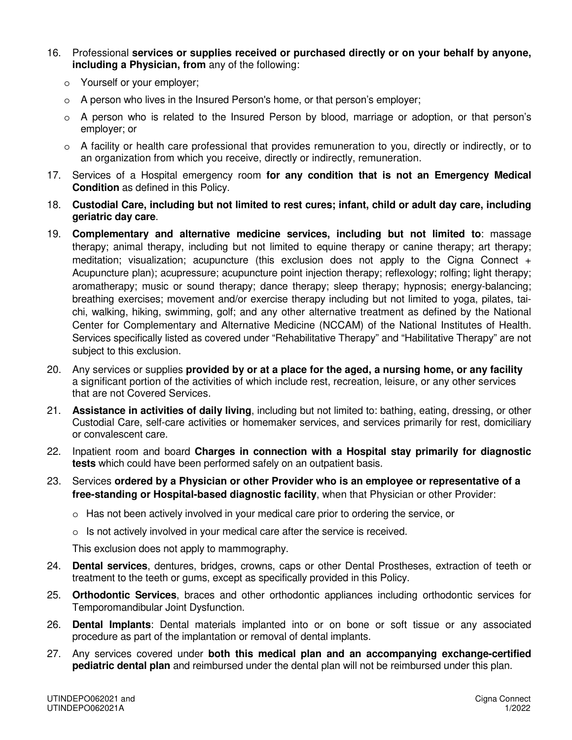- 16. Professional **services or supplies received or purchased directly or on your behalf by anyone, including a Physician, from** any of the following:
	- o Yourself or your employer;
	- $\circ$  A person who lives in the Insured Person's home, or that person's employer;
	- o A person who is related to the Insured Person by blood, marriage or adoption, or that person's employer; or
	- $\circ$  A facility or health care professional that provides remuneration to you, directly or indirectly, or to an organization from which you receive, directly or indirectly, remuneration.
- 17. Services of a Hospital emergency room **for any condition that is not an Emergency Medical Condition** as defined in this Policy.
- 18. **Custodial Care, including but not limited to rest cures; infant, child or adult day care, including geriatric day care**.
- 19. **Complementary and alternative medicine services, including but not limited to**: massage therapy; animal therapy, including but not limited to equine therapy or canine therapy; art therapy; meditation; visualization; acupuncture (this exclusion does not apply to the Cigna Connect + Acupuncture plan); acupressure; acupuncture point injection therapy; reflexology; rolfing; light therapy; aromatherapy; music or sound therapy; dance therapy; sleep therapy; hypnosis; energy-balancing; breathing exercises; movement and/or exercise therapy including but not limited to yoga, pilates, taichi, walking, hiking, swimming, golf; and any other alternative treatment as defined by the National Center for Complementary and Alternative Medicine (NCCAM) of the National Institutes of Health. Services specifically listed as covered under "Rehabilitative Therapy" and "Habilitative Therapy" are not subject to this exclusion.
- 20. Any services or supplies **provided by or at a place for the aged, a nursing home, or any facility** a significant portion of the activities of which include rest, recreation, leisure, or any other services that are not Covered Services.
- 21. **Assistance in activities of daily living**, including but not limited to: bathing, eating, dressing, or other Custodial Care, self-care activities or homemaker services, and services primarily for rest, domiciliary or convalescent care.
- 22. Inpatient room and board **Charges in connection with a Hospital stay primarily for diagnostic tests** which could have been performed safely on an outpatient basis.
- 23. Services **ordered by a Physician or other Provider who is an employee or representative of a free-standing or Hospital-based diagnostic facility**, when that Physician or other Provider:
	- o Has not been actively involved in your medical care prior to ordering the service, or
	- o Is not actively involved in your medical care after the service is received.

This exclusion does not apply to mammography.

- 24. **Dental services**, dentures, bridges, crowns, caps or other Dental Prostheses, extraction of teeth or treatment to the teeth or gums, except as specifically provided in this Policy.
- 25. **Orthodontic Services**, braces and other orthodontic appliances including orthodontic services for Temporomandibular Joint Dysfunction.
- 26. **Dental Implants**: Dental materials implanted into or on bone or soft tissue or any associated procedure as part of the implantation or removal of dental implants.
- 27. Any services covered under **both this medical plan and an accompanying exchange-certified pediatric dental plan** and reimbursed under the dental plan will not be reimbursed under this plan.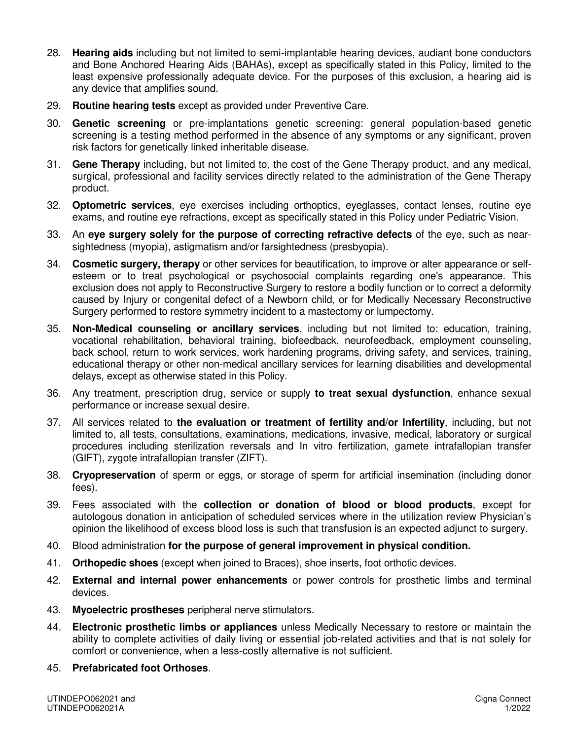- 28. **Hearing aids** including but not limited to semi-implantable hearing devices, audiant bone conductors and Bone Anchored Hearing Aids (BAHAs), except as specifically stated in this Policy, limited to the least expensive professionally adequate device. For the purposes of this exclusion, a hearing aid is any device that amplifies sound.
- 29. **Routine hearing tests** except as provided under Preventive Care.
- 30. **Genetic screening** or pre-implantations genetic screening: general population-based genetic screening is a testing method performed in the absence of any symptoms or any significant, proven risk factors for genetically linked inheritable disease.
- 31. **Gene Therapy** including, but not limited to, the cost of the Gene Therapy product, and any medical, surgical, professional and facility services directly related to the administration of the Gene Therapy product.
- 32. **Optometric services**, eye exercises including orthoptics, eyeglasses, contact lenses, routine eye exams, and routine eye refractions, except as specifically stated in this Policy under Pediatric Vision.
- 33. An **eye surgery solely for the purpose of correcting refractive defects** of the eye, such as nearsightedness (myopia), astigmatism and/or farsightedness (presbyopia).
- 34. **Cosmetic surgery, therapy** or other services for beautification, to improve or alter appearance or selfesteem or to treat psychological or psychosocial complaints regarding one's appearance. This exclusion does not apply to Reconstructive Surgery to restore a bodily function or to correct a deformity caused by Injury or congenital defect of a Newborn child, or for Medically Necessary Reconstructive Surgery performed to restore symmetry incident to a mastectomy or lumpectomy.
- 35. **Non-Medical counseling or ancillary services**, including but not limited to: education, training, vocational rehabilitation, behavioral training, biofeedback, neurofeedback, employment counseling, back school, return to work services, work hardening programs, driving safety, and services, training, educational therapy or other non-medical ancillary services for learning disabilities and developmental delays, except as otherwise stated in this Policy.
- 36. Any treatment, prescription drug, service or supply **to treat sexual dysfunction**, enhance sexual performance or increase sexual desire.
- 37. All services related to **the evaluation or treatment of fertility and/or Infertility**, including, but not limited to, all tests, consultations, examinations, medications, invasive, medical, laboratory or surgical procedures including sterilization reversals and In vitro fertilization, gamete intrafallopian transfer (GIFT), zygote intrafallopian transfer (ZIFT).
- 38. **Cryopreservation** of sperm or eggs, or storage of sperm for artificial insemination (including donor fees).
- 39. Fees associated with the **collection or donation of blood or blood products**, except for autologous donation in anticipation of scheduled services where in the utilization review Physician's opinion the likelihood of excess blood loss is such that transfusion is an expected adjunct to surgery.
- 40. Blood administration **for the purpose of general improvement in physical condition.**
- 41. **Orthopedic shoes** (except when joined to Braces), shoe inserts, foot orthotic devices.
- 42. **External and internal power enhancements** or power controls for prosthetic limbs and terminal devices.
- 43. **Myoelectric prostheses** peripheral nerve stimulators.
- 44. **Electronic prosthetic limbs or appliances** unless Medically Necessary to restore or maintain the ability to complete activities of daily living or essential job-related activities and that is not solely for comfort or convenience, when a less-costly alternative is not sufficient.
- 45. **Prefabricated foot Orthoses**.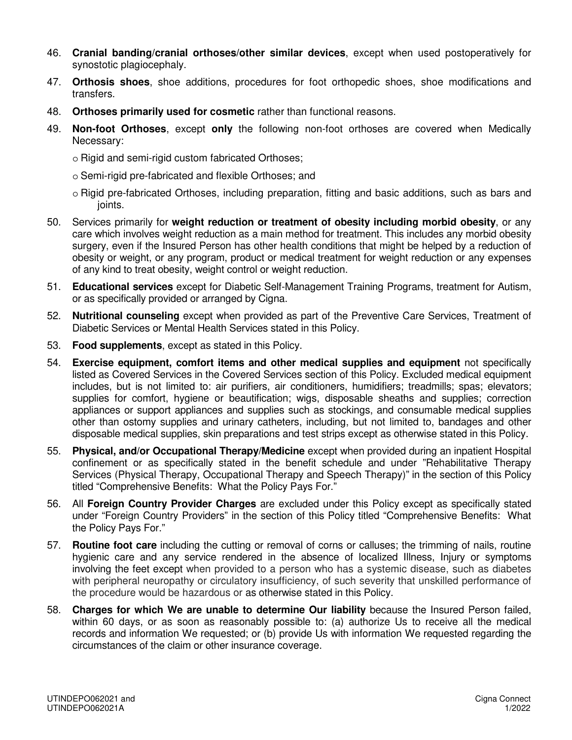- 46. **Cranial banding/cranial orthoses/other similar devices**, except when used postoperatively for synostotic plagiocephaly.
- 47. **Orthosis shoes**, shoe additions, procedures for foot orthopedic shoes, shoe modifications and transfers.
- 48. **Orthoses primarily used for cosmetic** rather than functional reasons.
- 49. **Non-foot Orthoses**, except **only** the following non-foot orthoses are covered when Medically Necessary:
	- o Rigid and semi-rigid custom fabricated Orthoses;
	- o Semi-rigid pre-fabricated and flexible Orthoses; and
	- o Rigid pre-fabricated Orthoses, including preparation, fitting and basic additions, such as bars and joints.
- 50. Services primarily for **weight reduction or treatment of obesity including morbid obesity**, or any care which involves weight reduction as a main method for treatment. This includes any morbid obesity surgery, even if the Insured Person has other health conditions that might be helped by a reduction of obesity or weight, or any program, product or medical treatment for weight reduction or any expenses of any kind to treat obesity, weight control or weight reduction.
- 51. **Educational services** except for Diabetic Self-Management Training Programs, treatment for Autism, or as specifically provided or arranged by Cigna.
- 52. **Nutritional counseling** except when provided as part of the Preventive Care Services, Treatment of Diabetic Services or Mental Health Services stated in this Policy.
- 53. **Food supplements**, except as stated in this Policy.
- 54. **Exercise equipment, comfort items and other medical supplies and equipment** not specifically listed as Covered Services in the Covered Services section of this Policy. Excluded medical equipment includes, but is not limited to: air purifiers, air conditioners, humidifiers; treadmills; spas; elevators; supplies for comfort, hygiene or beautification; wigs, disposable sheaths and supplies; correction appliances or support appliances and supplies such as stockings, and consumable medical supplies other than ostomy supplies and urinary catheters, including, but not limited to, bandages and other disposable medical supplies, skin preparations and test strips except as otherwise stated in this Policy.
- 55. **Physical, and/or Occupational Therapy/Medicine** except when provided during an inpatient Hospital confinement or as specifically stated in the benefit schedule and under "Rehabilitative Therapy Services (Physical Therapy, Occupational Therapy and Speech Therapy)" in the section of this Policy titled "Comprehensive Benefits: What the Policy Pays For."
- 56. All **Foreign Country Provider Charges** are excluded under this Policy except as specifically stated under "Foreign Country Providers" in the section of this Policy titled "Comprehensive Benefits: What the Policy Pays For."
- 57. **Routine foot care** including the cutting or removal of corns or calluses; the trimming of nails, routine hygienic care and any service rendered in the absence of localized Illness, Injury or symptoms involving the feet except when provided to a person who has a systemic disease, such as diabetes with peripheral neuropathy or circulatory insufficiency, of such severity that unskilled performance of the procedure would be hazardous or as otherwise stated in this Policy.
- 58. **Charges for which We are unable to determine Our liability** because the Insured Person failed, within 60 days, or as soon as reasonably possible to: (a) authorize Us to receive all the medical records and information We requested; or (b) provide Us with information We requested regarding the circumstances of the claim or other insurance coverage.